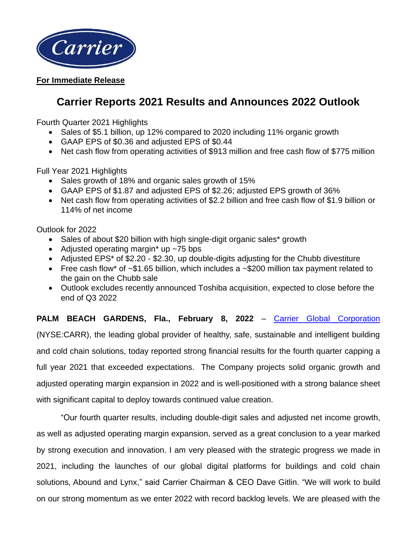

# **Carrier Reports 2021 Results and Announces 2022 Outlook**

Fourth Quarter 2021 Highlights

- Sales of \$5.1 billion, up 12% compared to 2020 including 11% organic growth
- GAAP EPS of \$0.36 and adjusted EPS of \$0.44
- Net cash flow from operating activities of \$913 million and free cash flow of \$775 million

Full Year 2021 Highlights

- Sales growth of 18% and organic sales growth of 15%
- GAAP EPS of \$1.87 and adjusted EPS of \$2.26; adjusted EPS growth of 36%
- Net cash flow from operating activities of \$2.2 billion and free cash flow of \$1.9 billion or 114% of net income

Outlook for 2022

- Sales of about \$20 billion with high single-digit organic sales\* growth
- Adjusted operating margin\* up  $\sim$  75 bps
- Adjusted EPS<sup>\*</sup> of \$2.20 \$2.30, up double-digits adjusting for the Chubb divestiture
- Free cash flow\* of ~\$1.65 billion, which includes a ~\$200 million tax payment related to the gain on the Chubb sale
- Outlook excludes recently announced Toshiba acquisition, expected to close before the end of Q3 2022

## **PALM BEACH GARDENS, Fla., February 8, 2022** – [Carrier Global Corporation](http://www.corporate.carrier.com/)

(NYSE:CARR), the leading global provider of healthy, safe, sustainable and intelligent building and cold chain solutions, today reported strong financial results for the fourth quarter capping a full year 2021 that exceeded expectations. The Company projects solid organic growth and adjusted operating margin expansion in 2022 and is well-positioned with a strong balance sheet with significant capital to deploy towards continued value creation.

"Our fourth quarter results, including double-digit sales and adjusted net income growth, as well as adjusted operating margin expansion, served as a great conclusion to a year marked by strong execution and innovation. I am very pleased with the strategic progress we made in 2021, including the launches of our global digital platforms for buildings and cold chain solutions, Abound and Lynx," said Carrier Chairman & CEO Dave Gitlin. "We will work to build on our strong momentum as we enter 2022 with record backlog levels. We are pleased with the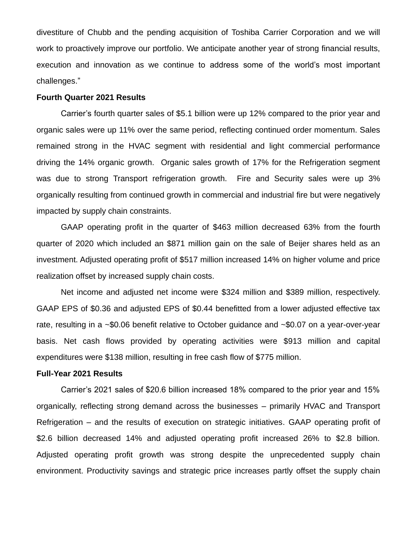divestiture of Chubb and the pending acquisition of Toshiba Carrier Corporation and we will work to proactively improve our portfolio. We anticipate another year of strong financial results, execution and innovation as we continue to address some of the world's most important challenges."

## **Fourth Quarter 2021 Results**

Carrier's fourth quarter sales of \$5.1 billion were up 12% compared to the prior year and organic sales were up 11% over the same period, reflecting continued order momentum. Sales remained strong in the HVAC segment with residential and light commercial performance driving the 14% organic growth. Organic sales growth of 17% for the Refrigeration segment was due to strong Transport refrigeration growth. Fire and Security sales were up 3% organically resulting from continued growth in commercial and industrial fire but were negatively impacted by supply chain constraints.

GAAP operating profit in the quarter of \$463 million decreased 63% from the fourth quarter of 2020 which included an \$871 million gain on the sale of Beijer shares held as an investment. Adjusted operating profit of \$517 million increased 14% on higher volume and price realization offset by increased supply chain costs.

Net income and adjusted net income were \$324 million and \$389 million, respectively. GAAP EPS of \$0.36 and adjusted EPS of \$0.44 benefitted from a lower adjusted effective tax rate, resulting in a ~\$0.06 benefit relative to October guidance and ~\$0.07 on a year-over-year basis. Net cash flows provided by operating activities were \$913 million and capital expenditures were \$138 million, resulting in free cash flow of \$775 million.

## **Full-Year 2021 Results**

Carrier's 2021 sales of \$20.6 billion increased 18% compared to the prior year and 15% organically, reflecting strong demand across the businesses – primarily HVAC and Transport Refrigeration – and the results of execution on strategic initiatives. GAAP operating profit of \$2.6 billion decreased 14% and adjusted operating profit increased 26% to \$2.8 billion. Adjusted operating profit growth was strong despite the unprecedented supply chain environment. Productivity savings and strategic price increases partly offset the supply chain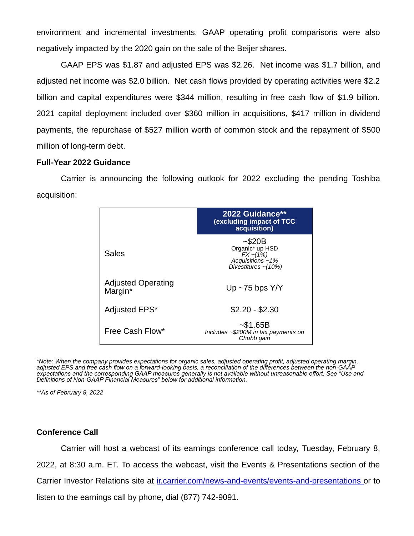environment and incremental investments. GAAP operating profit comparisons were also negatively impacted by the 2020 gain on the sale of the Beijer shares.

GAAP EPS was \$1.87 and adjusted EPS was \$2.26. Net income was \$1.7 billion, and adjusted net income was \$2.0 billion. Net cash flows provided by operating activities were \$2.2 billion and capital expenditures were \$344 million, resulting in free cash flow of \$1.9 billion. 2021 capital deployment included over \$360 million in acquisitions, \$417 million in dividend payments, the repurchase of \$527 million worth of common stock and the repayment of \$500 million of long-term debt.

## **Full-Year 2022 Guidance**

Carrier is announcing the following outlook for 2022 excluding the pending Toshiba acquisition:

|                                      | 2022 Guidance**<br>(excluding impact of TCC<br>acquisition)                                 |
|--------------------------------------|---------------------------------------------------------------------------------------------|
| Sales                                | ~520B<br>Organic* up HSD<br>$FX - (1%)$<br>Acquisitions $~1\%$<br>Divestitures $\sim$ (10%) |
| <b>Adjusted Operating</b><br>Margin* | Up $\sim$ 75 bps Y/Y                                                                        |
| Adjusted EPS*                        | $$2.20 - $2.30$                                                                             |
| Free Cash Flow*                      | ~51.65B<br>Includes $\sim$ \$200M in tax payments on<br>Chubb gain                          |

*\*Note: When the company provides expectations for organic sales, adjusted operating profit, adjusted operating margin, adjusted EPS and free cash flow on a forward-looking basis, a reconciliation of the differences between the non-GAAP expectations and the corresponding GAAP measures generally is not available without unreasonable effort. See "Use and Definitions of Non-GAAP Financial Measures" below for additional information.*

*\*\*As of February 8, 2022*

## **Conference Call**

Carrier will host a webcast of its earnings conference call today, Tuesday, February 8, 2022, at 8:30 a.m. ET. To access the webcast, visit the Events & Presentations section of the Carrier Investor Relations site at [ir.carrier.com/news-and-events/events-and-presentations](https://ir.carrier.com/news-and-events/events-and-presentations) or to listen to the earnings call by phone, dial (877) 742-9091.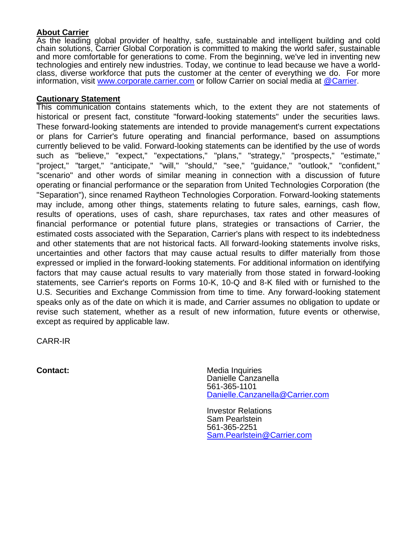## **About Carrier**

As the leading global provider of healthy, safe, sustainable and intelligent building and cold chain solutions, Carrier Global Corporation is committed to making the world safer, sustainable and more comfortable for generations to come. From the beginning, we've led in inventing new technologies and entirely new industries. Today, we continue to lead because we have a worldclass, diverse workforce that puts the customer at the center of everything we do. For more information, visit [www.corporate.carrier.com](http://www.corporate.carrier.com/) or follow Carrier on social media at [@Carrier.](http://www.twitter.com/carrier)

## **Cautionary Statement**

This communication contains statements which, to the extent they are not statements of historical or present fact, constitute "forward-looking statements" under the securities laws. These forward-looking statements are intended to provide management's current expectations or plans for Carrier's future operating and financial performance, based on assumptions currently believed to be valid. Forward-looking statements can be identified by the use of words such as "believe," "expect," "expectations," "plans," "strategy," "prospects," "estimate," "project," "target," "anticipate," "will," "should," "see," "guidance," "outlook," "confident," "scenario" and other words of similar meaning in connection with a discussion of future operating or financial performance or the separation from United Technologies Corporation (the "Separation"), since renamed Raytheon Technologies Corporation. Forward-looking statements may include, among other things, statements relating to future sales, earnings, cash flow, results of operations, uses of cash, share repurchases, tax rates and other measures of financial performance or potential future plans, strategies or transactions of Carrier, the estimated costs associated with the Separation, Carrier's plans with respect to its indebtedness and other statements that are not historical facts. All forward-looking statements involve risks, uncertainties and other factors that may cause actual results to differ materially from those expressed or implied in the forward-looking statements. For additional information on identifying factors that may cause actual results to vary materially from those stated in forward-looking statements, see Carrier's reports on Forms 10-K, 10-Q and 8-K filed with or furnished to the U.S. Securities and Exchange Commission from time to time. Any forward-looking statement speaks only as of the date on which it is made, and Carrier assumes no obligation to update or revise such statement, whether as a result of new information, future events or otherwise, except as required by applicable law.

CARR-IR

**Contact:** Media Inquiries Danielle Canzanella 561-365-1101 [Danielle.Canzanella@Carrier.com](mailto:Danielle.Canzanella@Carrier.com)

> Investor Relations Sam Pearlstein 561-365-2251 [Sam.Pearlstein@Carrier.com](mailto:Sam.Pearlstein@Carrier.com)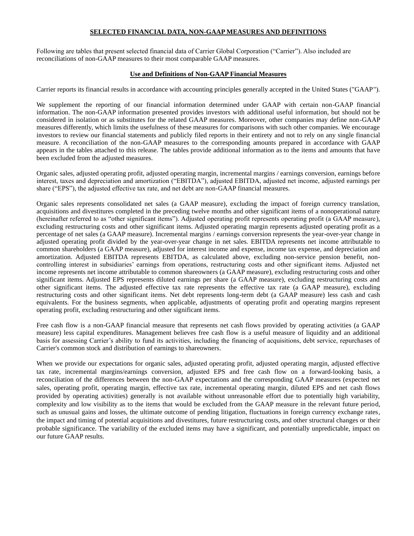#### **SELECTED FINANCIAL DATA, NON-GAAP MEASURES AND DEFINITIONS**

Following are tables that present selected financial data of Carrier Global Corporation ("Carrier"). Also included are reconciliations of non-GAAP measures to their most comparable GAAP measures.

#### **Use and Definitions of Non-GAAP Financial Measures**

Carrier reports its financial results in accordance with accounting principles generally accepted in the United States ("GAAP").

We supplement the reporting of our financial information determined under GAAP with certain non-GAAP financial information. The non-GAAP information presented provides investors with additional useful information, but should not be considered in isolation or as substitutes for the related GAAP measures. Moreover, other companies may define non-GAAP measures differently, which limits the usefulness of these measures for comparisons with such other companies. We encourage investors to review our financial statements and publicly filed reports in their entirety and not to rely on any single financial measure. A reconciliation of the non-GAAP measures to the corresponding amounts prepared in accordance with GAAP appears in the tables attached to this release. The tables provide additional information as to the items and amounts that have been excluded from the adjusted measures.

Organic sales, adjusted operating profit, adjusted operating margin, incremental margins / earnings conversion, earnings before interest, taxes and depreciation and amortization ("EBITDA"), adjusted EBITDA, adjusted net income, adjusted earnings per share ("EPS"), the adjusted effective tax rate, and net debt are non-GAAP financial measures.

Organic sales represents consolidated net sales (a GAAP measure), excluding the impact of foreign currency translation, acquisitions and divestitures completed in the preceding twelve months and other significant items of a nonoperational nature (hereinafter referred to as "other significant items"). Adjusted operating profit represents operating profit (a GAAP measure), excluding restructuring costs and other significant items. Adjusted operating margin represents adjusted operating profit as a percentage of net sales (a GAAP measure). Incremental margins / earnings conversion represents the year-over-year change in adjusted operating profit divided by the year-over-year change in net sales. EBITDA represents net income attributable to common shareholders (a GAAP measure), adjusted for interest income and expense, income tax expense, and depreciation and amortization. Adjusted EBITDA represents EBITDA, as calculated above, excluding non-service pension benefit, noncontrolling interest in subsidiaries' earnings from operations, restructuring costs and other significant items. Adjusted net income represents net income attributable to common shareowners (a GAAP measure), excluding restructuring costs and other significant items. Adjusted EPS represents diluted earnings per share (a GAAP measure), excluding restructuring costs and other significant items. The adjusted effective tax rate represents the effective tax rate (a GAAP measure), excluding restructuring costs and other significant items. Net debt represents long-term debt (a GAAP measure) less cash and cash equivalents. For the business segments, when applicable, adjustments of operating profit and operating margins represent operating profit, excluding restructuring and other significant items.

Free cash flow is a non-GAAP financial measure that represents net cash flows provided by operating activities (a GAAP measure) less capital expenditures. Management believes free cash flow is a useful measure of liquidity and an additional basis for assessing Carrier's ability to fund its activities, including the financing of acquisitions, debt service, repurchases of Carrier's common stock and distribution of earnings to shareowners.

When we provide our expectations for organic sales, adjusted operating profit, adjusted operating margin, adjusted effective tax rate, incremental margins/earnings conversion, adjusted EPS and free cash flow on a forward-looking basis, a reconciliation of the differences between the non-GAAP expectations and the corresponding GAAP measures (expected net sales, operating profit, operating margin, effective tax rate, incremental operating margin, diluted EPS and net cash flows provided by operating activities) generally is not available without unreasonable effort due to potentially high variability, complexity and low visibility as to the items that would be excluded from the GAAP measure in the relevant future period, such as unusual gains and losses, the ultimate outcome of pending litigation, fluctuations in foreign currency exchange rates, the impact and timing of potential acquisitions and divestitures, future restructuring costs, and other structural changes or their probable significance. The variability of the excluded items may have a significant, and potentially unpredictable, impact on our future GAAP results.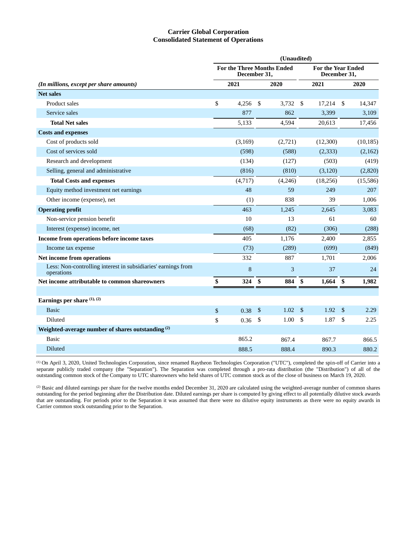#### **Carrier Global Corporation Consolidated Statement of Operations**

|                                                                             |              |                                                   |     | (Unaudited) |                                                                                                                                                                                                                                                  |    |           |
|-----------------------------------------------------------------------------|--------------|---------------------------------------------------|-----|-------------|--------------------------------------------------------------------------------------------------------------------------------------------------------------------------------------------------------------------------------------------------|----|-----------|
|                                                                             |              | <b>For the Three Months Ended</b><br>December 31, |     |             |                                                                                                                                                                                                                                                  |    |           |
| (In millions, except per share amounts)                                     |              | 2021                                              |     | 2020        | For the Year Ended<br>December 31,<br>2021<br>17,214<br>3.399<br>20,613<br>(12,300)<br>(2, 333)<br>(503)<br>(3,120)<br>(18,256)<br>249<br>39<br>2.645<br>61<br>(306)<br>2.400<br>(699)<br>1,701<br>37<br>1,664<br>1.92<br>1.87<br>867.7<br>890.3 |    | 2020      |
| <b>Net sales</b>                                                            |              |                                                   |     |             |                                                                                                                                                                                                                                                  |    |           |
| Product sales                                                               | \$           | 4,256                                             | -\$ | 3,732       | \$                                                                                                                                                                                                                                               | \$ | 14,347    |
| Service sales                                                               |              | 877                                               |     | 862         |                                                                                                                                                                                                                                                  |    | 3.109     |
| <b>Total Net sales</b>                                                      |              | 5,133                                             |     | 4,594       |                                                                                                                                                                                                                                                  |    | 17,456    |
| <b>Costs and expenses</b>                                                   |              |                                                   |     |             |                                                                                                                                                                                                                                                  |    |           |
| Cost of products sold                                                       |              | (3,169)                                           |     | (2,721)     |                                                                                                                                                                                                                                                  |    | (10, 185) |
| Cost of services sold                                                       |              | (598)                                             |     | (588)       |                                                                                                                                                                                                                                                  |    | (2,162)   |
| Research and development                                                    |              | (134)                                             |     | (127)       |                                                                                                                                                                                                                                                  |    | (419)     |
| Selling, general and administrative                                         |              | (816)                                             |     | (810)       |                                                                                                                                                                                                                                                  |    | (2,820)   |
| <b>Total Costs and expenses</b>                                             |              | (4,717)                                           |     | (4,246)     |                                                                                                                                                                                                                                                  |    | (15,586)  |
| Equity method investment net earnings                                       |              | 48                                                |     | 59          |                                                                                                                                                                                                                                                  |    | 207       |
| Other income (expense), net                                                 |              | (1)                                               |     | 838         |                                                                                                                                                                                                                                                  |    | 1,006     |
| <b>Operating profit</b>                                                     |              | 463                                               |     | 1,245       |                                                                                                                                                                                                                                                  |    | 3,083     |
| Non-service pension benefit                                                 |              | 10                                                |     | 13          |                                                                                                                                                                                                                                                  |    | 60        |
| Interest (expense) income, net                                              |              | (68)                                              |     | (82)        |                                                                                                                                                                                                                                                  |    | (288)     |
| Income from operations before income taxes                                  |              | 405                                               |     | 1,176       |                                                                                                                                                                                                                                                  |    | 2,855     |
| Income tax expense                                                          |              | (73)                                              |     | (289)       |                                                                                                                                                                                                                                                  |    | (849)     |
| Net income from operations                                                  |              | 332                                               |     | 887         |                                                                                                                                                                                                                                                  |    | 2,006     |
| Less: Non-controlling interest in subsidiaries' earnings from<br>operations |              | 8                                                 |     | 3           |                                                                                                                                                                                                                                                  |    | 24        |
| Net income attributable to common shareowners                               | \$           | 324                                               | \$  | 884         | \$                                                                                                                                                                                                                                               | \$ | 1,982     |
|                                                                             |              |                                                   |     |             |                                                                                                                                                                                                                                                  |    |           |
| Earnings per share $(1), (2)$                                               |              |                                                   |     |             |                                                                                                                                                                                                                                                  |    |           |
| <b>Basic</b>                                                                | $\mathbb{S}$ | 0.38                                              | \$  | 1.02        | \$                                                                                                                                                                                                                                               | \$ | 2.29      |
| Diluted                                                                     | \$           | 0.36                                              | \$  | 1.00        | \$                                                                                                                                                                                                                                               | \$ | 2.25      |
| Weighted-average number of shares outstanding $(2)$                         |              |                                                   |     |             |                                                                                                                                                                                                                                                  |    |           |
| <b>Basic</b>                                                                |              | 865.2                                             |     | 867.4       |                                                                                                                                                                                                                                                  |    | 866.5     |
| Diluted                                                                     |              | 888.5                                             |     | 888.4       |                                                                                                                                                                                                                                                  |    | 880.2     |
|                                                                             |              |                                                   |     |             |                                                                                                                                                                                                                                                  |    |           |

(1) On April 3, 2020, United Technologies Corporation, since renamed Raytheon Technologies Corporation ("UTC"), completed the spin-off of Carrier into a separate publicly traded company (the "Separation"). The Separation was completed through a pro-rata distribution (the "Distribution") of all of the outstanding common stock of the Company to UTC shareowners who held shares of UTC common stock as of the close of business on March 19, 2020.

(2) Basic and diluted earnings per share for the twelve months ended December 31, 2020 are calculated using the weighted-average number of common shares outstanding for the period beginning after the Distribution date. Diluted earnings per share is computed by giving effect to all potentially dilutive stock awards that are outstanding. For periods prior to the Separation it was assumed that there were no dilutive equity instruments as there were no equity awards in Carrier common stock outstanding prior to the Separation.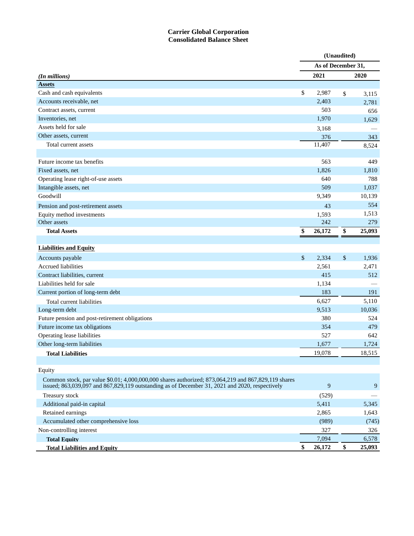## **Carrier Global Corporation Consolidated Balance Sheet**

|                                                                                                                                                                                                           | (Unaudited) |        |                    |        |  |  |  |  |
|-----------------------------------------------------------------------------------------------------------------------------------------------------------------------------------------------------------|-------------|--------|--------------------|--------|--|--|--|--|
|                                                                                                                                                                                                           |             |        | As of December 31, |        |  |  |  |  |
| (In millions)                                                                                                                                                                                             |             | 2021   |                    | 2020   |  |  |  |  |
| <b>Assets</b>                                                                                                                                                                                             |             |        |                    |        |  |  |  |  |
| Cash and cash equivalents                                                                                                                                                                                 | \$          | 2,987  | \$                 | 3,115  |  |  |  |  |
| Accounts receivable, net                                                                                                                                                                                  |             | 2,403  |                    | 2,781  |  |  |  |  |
| Contract assets, current                                                                                                                                                                                  |             | 503    |                    | 656    |  |  |  |  |
| Inventories, net                                                                                                                                                                                          |             | 1,970  |                    | 1,629  |  |  |  |  |
| Assets held for sale                                                                                                                                                                                      |             | 3,168  |                    |        |  |  |  |  |
| Other assets, current                                                                                                                                                                                     |             | 376    |                    | 343    |  |  |  |  |
| Total current assets                                                                                                                                                                                      |             | 11,407 |                    | 8,524  |  |  |  |  |
|                                                                                                                                                                                                           |             |        |                    |        |  |  |  |  |
| Future income tax benefits                                                                                                                                                                                |             | 563    |                    | 449    |  |  |  |  |
| Fixed assets, net                                                                                                                                                                                         |             | 1,826  |                    | 1,810  |  |  |  |  |
| Operating lease right-of-use assets                                                                                                                                                                       |             | 640    |                    | 788    |  |  |  |  |
| Intangible assets, net                                                                                                                                                                                    |             | 509    |                    | 1,037  |  |  |  |  |
| Goodwill                                                                                                                                                                                                  |             | 9,349  |                    | 10,139 |  |  |  |  |
| Pension and post-retirement assets                                                                                                                                                                        |             | 43     |                    | 554    |  |  |  |  |
| Equity method investments                                                                                                                                                                                 |             | 1,593  |                    | 1,513  |  |  |  |  |
| Other assets                                                                                                                                                                                              |             | 242    |                    | 279    |  |  |  |  |
| <b>Total Assets</b>                                                                                                                                                                                       | \$          | 26,172 | \$                 | 25,093 |  |  |  |  |
|                                                                                                                                                                                                           |             |        |                    |        |  |  |  |  |
| <b>Liabilities and Equity</b>                                                                                                                                                                             |             |        |                    |        |  |  |  |  |
| Accounts payable                                                                                                                                                                                          | \$          | 2,334  | $\$$               | 1,936  |  |  |  |  |
| <b>Accrued liabilities</b>                                                                                                                                                                                |             | 2,561  |                    | 2,471  |  |  |  |  |
| Contract liabilities, current                                                                                                                                                                             |             | 415    |                    | 512    |  |  |  |  |
| Liabilities held for sale                                                                                                                                                                                 |             | 1,134  |                    |        |  |  |  |  |
| Current portion of long-term debt                                                                                                                                                                         |             | 183    |                    | 191    |  |  |  |  |
| Total current liabilities                                                                                                                                                                                 |             | 6,627  |                    | 5,110  |  |  |  |  |
| Long-term debt                                                                                                                                                                                            |             | 9,513  |                    | 10,036 |  |  |  |  |
| Future pension and post-retirement obligations                                                                                                                                                            |             | 380    |                    | 524    |  |  |  |  |
| Future income tax obligations                                                                                                                                                                             |             | 354    |                    | 479    |  |  |  |  |
| Operating lease liabilities                                                                                                                                                                               |             | 527    |                    | 642    |  |  |  |  |
| Other long-term liabilities                                                                                                                                                                               |             | 1,677  |                    | 1,724  |  |  |  |  |
| <b>Total Liabilities</b>                                                                                                                                                                                  |             | 19,078 |                    | 18,515 |  |  |  |  |
|                                                                                                                                                                                                           |             |        |                    |        |  |  |  |  |
| Equity                                                                                                                                                                                                    |             |        |                    |        |  |  |  |  |
| Common stock, par value \$0.01; 4,000,000,000 shares authorized; 873,064,219 and 867,829,119 shares<br>issued; $863,039,097$ and $867,829,119$ outstanding as of December 31, 2021 and 2020, respectively |             | 9      |                    | 9      |  |  |  |  |
| Treasury stock                                                                                                                                                                                            |             | (529)  |                    |        |  |  |  |  |
| Additional paid-in capital                                                                                                                                                                                |             | 5,411  |                    | 5,345  |  |  |  |  |
| Retained earnings                                                                                                                                                                                         |             | 2,865  |                    | 1,643  |  |  |  |  |
| Accumulated other comprehensive loss                                                                                                                                                                      |             | (989)  |                    | (745)  |  |  |  |  |
| Non-controlling interest                                                                                                                                                                                  |             | 327    |                    | 326    |  |  |  |  |
| <b>Total Equity</b>                                                                                                                                                                                       |             | 7,094  |                    | 6,578  |  |  |  |  |
| <b>Total Liabilities and Equity</b>                                                                                                                                                                       |             | 26,172 | \$                 | 25,093 |  |  |  |  |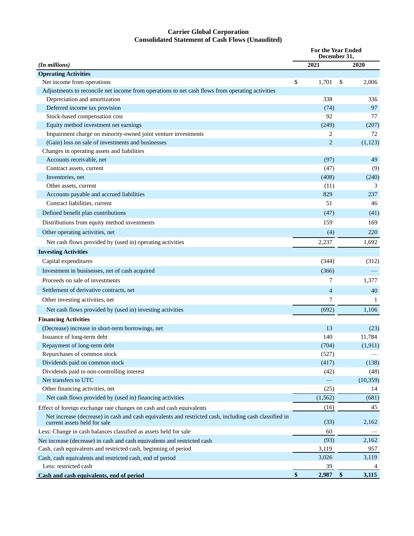## **Carrier Global Corporation Consolidated Statement of Cash Flows (Unaudited)**

|                                                                                                        |                | <b>For the Year Ended</b><br>December 31, |
|--------------------------------------------------------------------------------------------------------|----------------|-------------------------------------------|
| (In millions)                                                                                          | 2021           | 2020                                      |
| <b>Operating Activities</b>                                                                            |                |                                           |
| Net income from operations                                                                             | \$<br>1,701    | \$<br>2,006                               |
| Adjustments to reconcile net income from operations to net cash flows from operating activities        |                |                                           |
| Depreciation and amortization                                                                          | 338            | 336                                       |
| Deferred income tax provision                                                                          | (74)           | 97                                        |
| Stock-based compensation cost                                                                          | 92             | 77                                        |
| Equity method investment net earnings                                                                  | (249)          | (207)                                     |
| Impairment charge on minority-owned joint venture investments                                          | 2              | 72                                        |
| (Gain) loss on sale of investments and businesses                                                      | $\overline{2}$ | (1,123)                                   |
| Changes in operating assets and liabilities                                                            |                |                                           |
| Accounts receivable, net                                                                               | (97)           | 49                                        |
| Contract assets, current                                                                               | (47)           | (9)                                       |
| Inventories, net                                                                                       | (408)          | (240)                                     |
| Other assets, current                                                                                  | (11)           | 3                                         |
| Accounts payable and accrued liabilities                                                               | 829            | 237                                       |
| Contract liabilities, current                                                                          | 51             | 46                                        |
| Defined benefit plan contributions                                                                     | (47)           | (41)                                      |
| Distributions from equity method investments                                                           | 159            | 169                                       |
| Other operating activities, net                                                                        | (4)            | 220                                       |
| Net cash flows provided by (used in) operating activities                                              | 2,237          | 1,692                                     |
| <b>Investing Activities</b>                                                                            |                |                                           |
| Capital expenditures                                                                                   | (344)          | (312)                                     |
| Investment in businesses, net of cash acquired                                                         | (366)          |                                           |
| Proceeds on sale of investments                                                                        | 7              | 1,377                                     |
| Settlement of derivative contracts, net                                                                | $\overline{4}$ | 40                                        |
| Other investing activities, net                                                                        | 7              | 1                                         |
| Net cash flows provided by (used in) investing activities                                              | (692)          | 1,106                                     |
| <b>Financing Activities</b>                                                                            |                |                                           |
| (Decrease) increase in short-term borrowings, net                                                      | 13             | (23)                                      |
| Issuance of long-term debt                                                                             | 140            | 11,784                                    |
| Repayment of long-term debt                                                                            | (704)          | (1, 911)                                  |
| Repurchases of common stock                                                                            | (527)          |                                           |
| Dividends paid on common stock                                                                         | (417)          | (138)                                     |
| Dividends paid to non-controlling interest                                                             | (42)           | (48)                                      |
| Net transfers to UTC                                                                                   |                | (10, 359)                                 |
| Other financing activities, net                                                                        | (25)           | 14                                        |
| Net cash flows provided by (used in) financing activities                                              | (1, 562)       | (681)                                     |
| Effect of foreign exchange rate changes on cash and cash equivalents                                   | (16)           | 45                                        |
| Net increase (decrease) in cash and cash equivalents and restricted cash, including cash classified in |                |                                           |
| current assets held for sale                                                                           | (33)           | 2,162                                     |
| Less: Change in cash balances classified as assets held for sale                                       | 60             |                                           |
| Net increase (decrease) in cash and cash equivalents and restricted cash                               | (93)           | 2,162                                     |
| Cash, cash equivalents and restricted cash, beginning of period                                        | 3,119          | 957                                       |
| Cash, cash equivalents and restricted cash, end of period                                              | 3,026          | 3,119                                     |
| Less: restricted cash                                                                                  | 39             |                                           |
| Cash and cash equivalents, end of period                                                               | \$<br>2,987    | \$<br>3,115                               |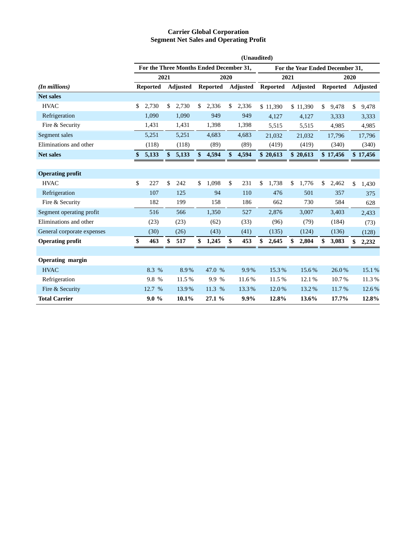#### **Carrier Global Corporation Segment Net Sales and Operating Profit**

| (Unaudited)                |    |                 |      |                 |    |                                         |      |          |      |                 |    |                 |      |                                 |    |                 |
|----------------------------|----|-----------------|------|-----------------|----|-----------------------------------------|------|----------|------|-----------------|----|-----------------|------|---------------------------------|----|-----------------|
|                            |    |                 |      |                 |    | For the Three Months Ended December 31, |      |          |      |                 |    |                 |      | For the Year Ended December 31, |    |                 |
|                            |    |                 | 2021 |                 |    |                                         | 2020 |          | 2021 |                 |    |                 | 2020 |                                 |    |                 |
| $(In$ millions $)$         |    | <b>Reported</b> |      | <b>Adjusted</b> |    | Reported                                |      | Adjusted |      | <b>Reported</b> |    | <b>Adjusted</b> |      | <b>Reported</b>                 |    | <b>Adjusted</b> |
| <b>Net sales</b>           |    |                 |      |                 |    |                                         |      |          |      |                 |    |                 |      |                                 |    |                 |
| <b>HVAC</b>                | \$ | 2,730           | \$   | 2,730           | \$ | 2,336                                   | \$   | 2,336    |      | \$11,390        |    | \$11.390        | \$   | 9,478                           | \$ | 9,478           |
| Refrigeration              |    | 1,090           |      | 1,090           |    | 949                                     |      | 949      |      | 4,127           |    | 4,127           |      | 3,333                           |    | 3,333           |
| Fire & Security            |    | 1,431           |      | 1,431           |    | 1,398                                   |      | 1,398    |      | 5,515           |    | 5,515           |      | 4,985                           |    | 4,985           |
| Segment sales              |    | 5,251           |      | 5,251           |    | 4,683                                   |      | 4,683    |      | 21,032          |    | 21,032          |      | 17,796                          |    | 17,796          |
| Eliminations and other     |    | (118)           |      | (118)           |    | (89)                                    |      | (89)     |      | (419)           |    | (419)           |      | (340)                           |    | (340)           |
| <b>Net sales</b>           | \$ | 5,133           | \$   | 5,133           | \$ | 4,594                                   | \$   | 4,594    |      | \$20,613        |    | \$20,613        |      | \$17,456                        |    | \$17,456        |
|                            |    |                 |      |                 |    |                                         |      |          |      |                 |    |                 |      |                                 |    |                 |
| <b>Operating profit</b>    |    |                 |      |                 |    |                                         |      |          |      |                 |    |                 |      |                                 |    |                 |
| <b>HVAC</b>                | \$ | 227             | \$   | 242             | \$ | 1,098                                   | \$   | 231      | \$   | 1,738           | \$ | 1,776           | \$   | 2,462                           | \$ | 1,430           |
| Refrigeration              |    | 107             |      | 125             |    | 94                                      |      | 110      |      | 476             |    | 501             |      | 357                             |    | 375             |
| Fire & Security            |    | 182             |      | 199             |    | 158                                     |      | 186      |      | 662             |    | 730             |      | 584                             |    | 628             |
| Segment operating profit   |    | 516             |      | 566             |    | 1,350                                   |      | 527      |      | 2,876           |    | 3,007           |      | 3,403                           |    | 2,433           |
| Eliminations and other     |    | (23)            |      | (23)            |    | (62)                                    |      | (33)     |      | (96)            |    | (79)            |      | (184)                           |    | (73)            |
| General corporate expenses |    | (30)            |      | (26)            |    | (43)                                    |      | (41)     |      | (135)           |    | (124)           |      | (136)                           |    | (128)           |
| <b>Operating profit</b>    | \$ | 463             | \$   | 517             | \$ | 1,245                                   | \$   | 453      | \$   | 2,645           | \$ | 2,804           | \$   | 3,083                           |    | 2,232           |
|                            |    |                 |      |                 |    |                                         |      |          |      |                 |    |                 |      |                                 |    |                 |
| Operating margin           |    |                 |      |                 |    |                                         |      |          |      |                 |    |                 |      |                                 |    |                 |
| <b>HVAC</b>                |    | 8.3 %           |      | 8.9%            |    | 47.0 %                                  |      | 9.9%     |      | 15.3%           |    | 15.6%           |      | 26.0%                           |    | 15.1%           |
| Refrigeration              |    | 9.8 %           |      | 11.5%           |    | 9.9 %                                   |      | 11.6%    |      | 11.5 %          |    | 12.1%           |      | 10.7%                           |    | 11.3%           |
| Fire & Security            |    | 12.7 %          |      | 13.9%           |    | 11.3 %                                  |      | 13.3%    |      | 12.0%           |    | 13.2%           |      | 11.7%                           |    | 12.6%           |
| <b>Total Carrier</b>       |    | 9.0%            |      | 10.1%           |    | 27.1 %                                  |      | 9.9%     |      | 12.8%           |    | 13.6%           |      | 17.7%                           |    | 12.8%           |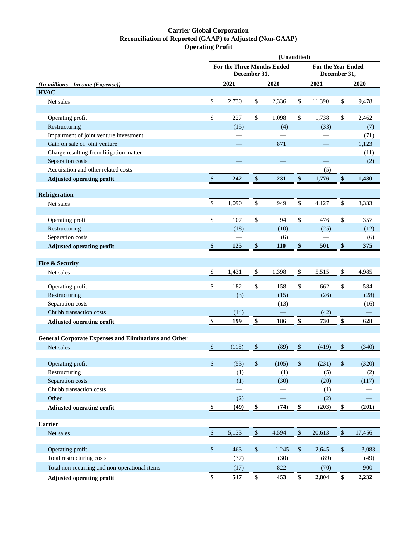#### **Carrier Global Corporation Reconciliation of Reported (GAAP) to Adjusted (Non-GAAP) Operating Profit**

|                                                              | (Unaudited)       |                                   |                      |       |                   |                                           |                   |        |  |  |  |  |
|--------------------------------------------------------------|-------------------|-----------------------------------|----------------------|-------|-------------------|-------------------------------------------|-------------------|--------|--|--|--|--|
|                                                              |                   | <b>For the Three Months Ended</b> | December 31,         |       |                   | <b>For the Year Ended</b><br>December 31, |                   |        |  |  |  |  |
| (In millions - Income (Expense))                             |                   | 2021                              |                      | 2020  |                   | 2021                                      |                   | 2020   |  |  |  |  |
| <b>HVAC</b>                                                  |                   |                                   |                      |       |                   |                                           |                   |        |  |  |  |  |
| Net sales                                                    | $\mathbb{S}$      | 2,730                             | $\mathbb{S}$         | 2,336 | $\$$              | 11,390                                    | $\$$              | 9,478  |  |  |  |  |
| Operating profit                                             | $\mathbb{S}$      | 227                               | \$                   | 1,098 | \$                | 1,738                                     | \$                | 2,462  |  |  |  |  |
| Restructuring                                                |                   | (15)                              |                      | (4)   |                   | (33)                                      |                   | (7)    |  |  |  |  |
| Impairment of joint venture investment                       |                   |                                   |                      |       |                   |                                           |                   | (71)   |  |  |  |  |
| Gain on sale of joint venture                                |                   |                                   |                      | 871   |                   |                                           |                   | 1,123  |  |  |  |  |
| Charge resulting from litigation matter                      |                   |                                   |                      |       |                   |                                           |                   | (11)   |  |  |  |  |
| Separation costs                                             |                   |                                   |                      |       |                   |                                           |                   | (2)    |  |  |  |  |
| Acquisition and other related costs                          |                   |                                   |                      |       |                   | (5)                                       |                   |        |  |  |  |  |
| <b>Adjusted operating profit</b>                             | $\boldsymbol{\$}$ | 242                               | $\boldsymbol{\$}$    | 231   | $\pmb{\$}$        | 1,776                                     | $\boldsymbol{\$}$ | 1,430  |  |  |  |  |
| Refrigeration                                                |                   |                                   |                      |       |                   |                                           |                   |        |  |  |  |  |
| Net sales                                                    | $\mathbb{S}$      | 1,090                             | $\mathbb{S}$         | 949   | $\$$              | 4,127                                     | $\mathbb{S}$      | 3,333  |  |  |  |  |
|                                                              |                   |                                   |                      |       |                   |                                           |                   |        |  |  |  |  |
| Operating profit                                             | \$                | 107                               | \$                   | 94    | \$                | 476                                       | \$                | 357    |  |  |  |  |
| Restructuring                                                |                   | (18)                              |                      | (10)  |                   | (25)                                      |                   | (12)   |  |  |  |  |
| Separation costs                                             |                   |                                   |                      | (6)   |                   |                                           |                   | (6)    |  |  |  |  |
| <b>Adjusted operating profit</b>                             | $\pmb{\$}$        | 125                               | $\pmb{\$}$           | 110   | \$                | 501                                       | $\boldsymbol{\$}$ | 375    |  |  |  |  |
|                                                              |                   |                                   |                      |       |                   |                                           |                   |        |  |  |  |  |
| Fire & Security                                              | $\mathbb{S}$      | 1,431                             | $\mathbb{S}$         | 1,398 | $\mathbb{S}$      | 5,515                                     | $\mathbb{S}$      | 4,985  |  |  |  |  |
| Net sales                                                    |                   |                                   |                      |       |                   |                                           |                   |        |  |  |  |  |
| Operating profit                                             | $\mathbb{S}$      | 182                               | \$                   | 158   | \$                | 662                                       | \$                | 584    |  |  |  |  |
| Restructuring                                                |                   | (3)                               |                      | (15)  |                   | (26)                                      |                   | (28)   |  |  |  |  |
| Separation costs                                             |                   |                                   |                      | (13)  |                   |                                           |                   | (16)   |  |  |  |  |
| Chubb transaction costs                                      |                   | (14)                              |                      |       |                   | (42)                                      |                   |        |  |  |  |  |
| <b>Adjusted operating profit</b>                             | \$                | 199                               | \$                   | 186   | \$                | 730                                       | \$                | 628    |  |  |  |  |
| <b>General Corporate Expenses and Eliminations and Other</b> |                   |                                   |                      |       |                   |                                           |                   |        |  |  |  |  |
| Net sales                                                    | $\,$              | (118)                             | $\mathbb{S}$         | (89)  | $\$$              | (419)                                     | \$                | (340)  |  |  |  |  |
|                                                              |                   |                                   |                      |       |                   |                                           |                   |        |  |  |  |  |
| Operating profit                                             | $\$$              | (53)                              | $\mathbb{S}$         | (105) | \$                | (231)                                     | $\mathbb{S}$      | (320)  |  |  |  |  |
| Restructuring                                                |                   | (1)                               |                      | (1)   |                   | (5)                                       |                   | (2)    |  |  |  |  |
| Separation costs                                             |                   | (1)                               |                      | (30)  |                   | (20)                                      |                   | (117)  |  |  |  |  |
| Chubb transaction costs                                      |                   |                                   |                      |       |                   | (1)                                       |                   |        |  |  |  |  |
| Other                                                        |                   | (2)                               |                      |       |                   | (2)                                       |                   |        |  |  |  |  |
| <b>Adjusted operating profit</b>                             | \$                | (49)                              | \$                   | (74)  | \$                | (203)                                     | \$                | (201)  |  |  |  |  |
| Carrier                                                      |                   |                                   |                      |       |                   |                                           |                   |        |  |  |  |  |
| Net sales                                                    | $\mathsf{S}$      | 5,133                             | $\sqrt{\frac{2}{2}}$ | 4,594 | $\boldsymbol{\$}$ | 20,613                                    | $\mathbb{S}$      | 17,456 |  |  |  |  |
|                                                              |                   |                                   |                      |       | $\mathbb{S}$      |                                           |                   |        |  |  |  |  |
| Operating profit                                             | $\mathbb{S}$      | 463                               | $\mathbb{S}$         | 1,245 |                   | 2,645                                     | $\mathbb{S}$      | 3,083  |  |  |  |  |
| Total restructuring costs                                    |                   | (37)                              |                      | (30)  |                   | (89)                                      |                   | (49)   |  |  |  |  |
| Total non-recurring and non-operational items                |                   | (17)                              |                      | 822   |                   | (70)                                      |                   | 900    |  |  |  |  |
| <b>Adjusted operating profit</b>                             | \$                | 517                               | \$                   | 453   | \$                | 2,804                                     | \$                | 2,232  |  |  |  |  |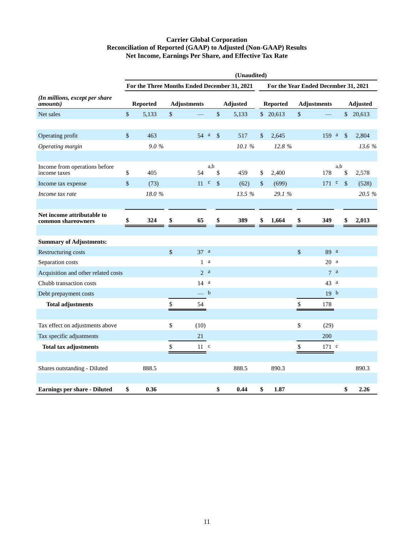## **Carrier Global Corporation Reconciliation of Reported (GAAP) to Adjusted (Non-GAAP) Results Net Income, Earnings Per Share, and Effective Tax Rate**

|                                                     | (Unaudited) |                 |    |                    |             |            |                                              |               |                                      |    |                    |             |               |                 |
|-----------------------------------------------------|-------------|-----------------|----|--------------------|-------------|------------|----------------------------------------------|---------------|--------------------------------------|----|--------------------|-------------|---------------|-----------------|
|                                                     |             |                 |    |                    |             |            | For the Three Months Ended December 31, 2021 |               | For the Year Ended December 31, 2021 |    |                    |             |               |                 |
| (In millions, except per share)<br><i>amounts</i> ) |             | <b>Reported</b> |    | <b>Adjustments</b> |             |            | <b>Adjusted</b>                              |               | <b>Reported</b>                      |    | <b>Adjustments</b> |             |               | <b>Adjusted</b> |
| Net sales                                           | $\sqrt{\ }$ | 5,133           | \$ |                    |             | \$         | 5,133                                        |               | \$20,613                             | \$ |                    |             |               | \$20,613        |
|                                                     |             |                 |    |                    |             |            |                                              |               |                                      |    |                    |             |               |                 |
| Operating profit                                    | $\sqrt{\ }$ | 463             |    | 54a                |             | $\sqrt{5}$ | 517                                          | $\mathbb{S}$  | 2,645                                |    | 159a               |             | $\mathcal{S}$ | 2,804           |
| Operating margin                                    |             | 9.0%            |    |                    |             |            | 10.1 %                                       |               | 12.8 %                               |    |                    |             |               | 13.6 %          |
|                                                     |             |                 |    |                    |             |            |                                              |               |                                      |    |                    |             |               |                 |
| Income from operations before<br>income taxes       | \$          | 405             |    | 54                 | a,b         | \$         | 459                                          | \$            | 2,400                                |    | 178                | a,b         | \$            | 2,578           |
| Income tax expense                                  | \$          | (73)            |    | 11                 | $\mathbf c$ | $\sqrt{2}$ | (62)                                         | $\mathcal{S}$ | (699)                                |    | 171                | $\mathbf c$ | $\mathcal{S}$ | (528)           |
| Income tax rate                                     |             | 18.0%           |    |                    |             |            | 13.5 %                                       |               | 29.1 %                               |    |                    |             |               | 20.5 %          |
|                                                     |             |                 |    |                    |             |            |                                              |               |                                      |    |                    |             |               |                 |
| Net income attributable to<br>common shareowners    | \$          | 324             | \$ | 65                 |             | \$         | 389                                          | \$            | 1,664                                | \$ | 349                |             | \$            | 2,013           |
|                                                     |             |                 |    |                    |             |            |                                              |               |                                      |    |                    |             |               |                 |
| <b>Summary of Adjustments:</b>                      |             |                 |    |                    |             |            |                                              |               |                                      |    |                    |             |               |                 |
| Restructuring costs                                 |             |                 | \$ | 37 a               |             |            |                                              |               |                                      | \$ | 89 a               |             |               |                 |
| Separation costs                                    |             |                 |    | $1 \text{ a}$      |             |            |                                              |               |                                      |    | 20 a               |             |               |                 |
| Acquisition and other related costs                 |             |                 |    | 2 <sup>a</sup>     |             |            |                                              |               |                                      |    | 7a                 |             |               |                 |
| Chubb transaction costs                             |             |                 |    | 14a                |             |            |                                              |               |                                      |    | 43 a               |             |               |                 |
| Debt prepayment costs                               |             |                 |    | $-$ b              |             |            |                                              |               |                                      |    | 19 b               |             |               |                 |
| <b>Total adjustments</b>                            |             |                 | \$ | 54                 |             |            |                                              |               |                                      | \$ | 178                |             |               |                 |
|                                                     |             |                 |    |                    |             |            |                                              |               |                                      |    |                    |             |               |                 |
| Tax effect on adjustments above                     |             |                 | \$ | (10)               |             |            |                                              |               |                                      | \$ | (29)               |             |               |                 |
| Tax specific adjustments                            |             |                 |    | 21                 |             |            |                                              |               |                                      |    | 200                |             |               |                 |
| <b>Total tax adjustments</b>                        |             |                 | \$ | $11 \text{ } c$    |             |            |                                              |               |                                      | \$ | $171$ c            |             |               |                 |
|                                                     |             |                 |    |                    |             |            |                                              |               |                                      |    |                    |             |               |                 |
| Shares outstanding - Diluted                        |             | 888.5           |    |                    |             |            | 888.5                                        |               | 890.3                                |    |                    |             |               | 890.3           |
|                                                     |             |                 |    |                    |             |            |                                              |               |                                      |    |                    |             |               |                 |
| <b>Earnings per share - Diluted</b>                 | \$          | 0.36            |    |                    |             | \$         | 0.44                                         | \$            | 1.87                                 |    |                    |             | \$            | 2.26            |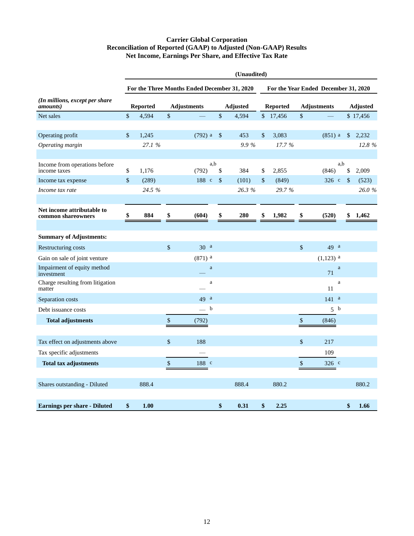## **Carrier Global Corporation Reconciliation of Reported (GAAP) to Adjusted (Non-GAAP) Results Net Income, Earnings Per Share, and Effective Tax Rate**

|                                                    | (Unaudited)   |                 |               |                    |                         |                                              |              |                 |              |                                      |        |                 |
|----------------------------------------------------|---------------|-----------------|---------------|--------------------|-------------------------|----------------------------------------------|--------------|-----------------|--------------|--------------------------------------|--------|-----------------|
|                                                    |               |                 |               |                    |                         | For the Three Months Ended December 31, 2020 |              |                 |              | For the Year Ended December 31, 2020 |        |                 |
| (In millions, except per share<br><i>amounts</i> ) |               | <b>Reported</b> |               | <b>Adjustments</b> |                         | Adjusted                                     |              | <b>Reported</b> |              | <b>Adjustments</b>                   |        | <b>Adjusted</b> |
| Net sales                                          | \$            | 4,594           | \$            |                    | \$                      | 4,594                                        |              | \$17,456        | \$           |                                      |        | \$17,456        |
|                                                    |               |                 |               |                    |                         |                                              |              |                 |              |                                      |        |                 |
| Operating profit                                   | $\mathsf{\$}$ | 1,245           |               | $(792)$ a          | $\sqrt[6]{\frac{1}{2}}$ | 453                                          | \$           | 3,083           |              | $(851)$ a                            | \$     | 2,232           |
| Operating margin                                   |               | 27.1%           |               |                    |                         | 9.9%                                         |              | 17.7%           |              |                                      |        | 12.8%           |
|                                                    |               |                 |               |                    |                         |                                              |              |                 |              |                                      |        |                 |
| Income from operations before<br>income taxes      | \$            | 1,176           |               | a,b<br>(792)       | \$                      | 384                                          | \$           | 2,855           |              | a,b<br>(846)                         | \$     | 2,009           |
| Income tax expense                                 | \$            | (289)           |               | 188 с              | $\mathbb{S}$            | (101)                                        | $\mathbb{S}$ | (849)           |              | $326$ c                              | $\$\,$ | (523)           |
| Income tax rate                                    |               | 24.5 %          |               |                    |                         | 26.3 %                                       |              | 29.7 %          |              |                                      |        | 26.0 %          |
|                                                    |               |                 |               |                    |                         |                                              |              |                 |              |                                      |        |                 |
| Net income attributable to<br>common shareowners   | \$            | 884             | \$            | (604)              | \$                      | 280                                          | \$           | 1,982           | \$           | (520)                                | \$     | 1,462           |
|                                                    |               |                 |               |                    |                         |                                              |              |                 |              |                                      |        |                 |
| <b>Summary of Adjustments:</b>                     |               |                 |               |                    |                         |                                              |              |                 |              |                                      |        |                 |
| Restructuring costs                                |               |                 | $\mathsf{\$}$ | 30 <sup>a</sup>    |                         |                                              |              |                 | $\mathbb{S}$ | 49 a                                 |        |                 |
| Gain on sale of joint venture                      |               |                 |               | $(871)$ a          |                         |                                              |              |                 |              | $(1,123)$ <sup>a</sup>               |        |                 |
| Impairment of equity method<br>investment          |               |                 |               | $\mathbf{a}$       |                         |                                              |              |                 |              | a<br>71                              |        |                 |
| Charge resulting from litigation<br>matter         |               |                 |               | a                  |                         |                                              |              |                 |              | a<br>11                              |        |                 |
| Separation costs                                   |               |                 |               | 49 a               |                         |                                              |              |                 |              | $141$ a                              |        |                 |
| Debt issuance costs                                |               |                 |               | $-$ b              |                         |                                              |              |                 |              | 5 <sup>b</sup>                       |        |                 |
| <b>Total adjustments</b>                           |               |                 | \$            | (792)              |                         |                                              |              |                 | $\$$         | (846)                                |        |                 |
|                                                    |               |                 |               |                    |                         |                                              |              |                 |              |                                      |        |                 |
| Tax effect on adjustments above                    |               |                 | \$            | 188                |                         |                                              |              |                 | \$           | 217                                  |        |                 |
| Tax specific adjustments                           |               |                 |               |                    |                         |                                              |              |                 |              | 109                                  |        |                 |
| <b>Total tax adjustments</b>                       |               |                 | \$            | 188 c              |                         |                                              |              |                 | \$           | $326$ c                              |        |                 |
|                                                    |               |                 |               |                    |                         |                                              |              |                 |              |                                      |        |                 |
| Shares outstanding - Diluted                       |               | 888.4           |               |                    |                         | 888.4                                        |              | 880.2           |              |                                      |        | 880.2           |
| <b>Earnings per share - Diluted</b>                | \$            | 1.00            |               |                    | \$                      | 0.31                                         | \$           | 2.25            |              |                                      | \$     | 1.66            |